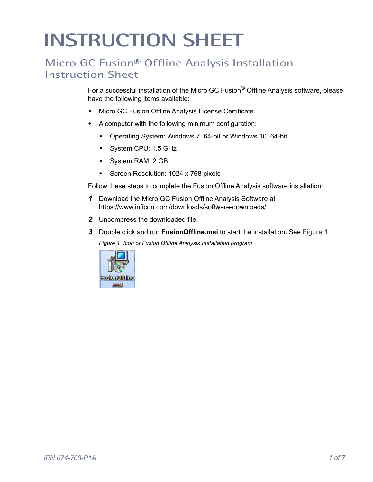## **INSTRUCTION SHEET**

## Micro GC Fusion® Offline Analysis Installation Instruction Sheet

For a successful installation of the Micro GC Fusion® Offline Analysis software, please have the following items available:

- Micro GC Fusion Offline Analysis License Certificate
- A computer with the following minimum configuration:
	- Operating System: Windows 7, 64-bit or Windows 10, 64-bit
	- System CPU: 1.5 GHz
	- System RAM: 2 GB
	- **\*** Screen Resolution: 1024 x 768 pixels

Follow these steps to complete the Fusion Offline Analysis software installation:

- *1* [Download the Micro GC Fusion Offline Analysis Software at](https://www.inficon.com/downloads/software-downloads/)  https://www.inficon.com/downloads/software-downloads/
- *2* Uncompress the downloaded file.
- <span id="page-0-0"></span>*3* Double click and run **FusionOffline.msi** to start the installation**.** See [Figure 1.](#page-0-0) *Figure 1 Icon of Fusion Offline Analysis Installation program*

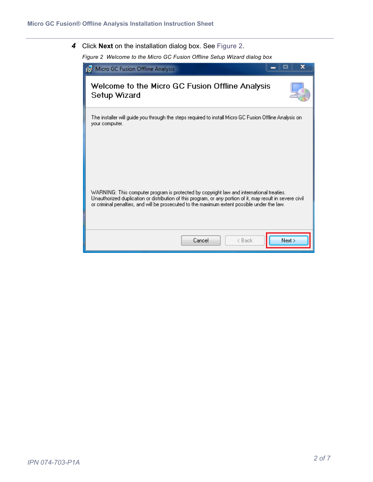<span id="page-1-0"></span>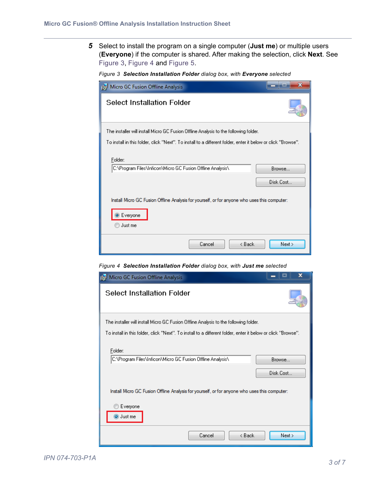*5* Select to install the program on a single computer (**Just me**) or multiple users (**Everyone**) if the computer is shared. After making the selection, click **Next**. See [Figure 3,](#page-2-0) [Figure 4](#page-2-1) and [Figure 5](#page-3-1)[.](#page-3-0)

<span id="page-2-0"></span>

|  |  | Figure 3 Selection Installation Folder dialog box, with Everyone selected |  |  |  |
|--|--|---------------------------------------------------------------------------|--|--|--|
|--|--|---------------------------------------------------------------------------|--|--|--|

| Micro GC Fusion Offline Analysis                                                                                                                                                  | x                   |
|-----------------------------------------------------------------------------------------------------------------------------------------------------------------------------------|---------------------|
| <b>Select Installation Folder</b>                                                                                                                                                 |                     |
| The installer will install Micro GC Fusion Offline Analysis to the following folder.                                                                                              |                     |
| ."To install in this folder, click "Next". To install to a different folder, enter it below or click "Browse                                                                      |                     |
| Folder:<br>C:\Program Files\Inficon\Micro GC Fusion Offline Analysis\<br>Install Micro GC Fusion Offline Analysis for yourself, or for anyone who uses this computer:<br>Everyone | Browse<br>Disk Cost |
| Just me                                                                                                                                                                           |                     |
| Cancel<br>< Back                                                                                                                                                                  | Next                |

<span id="page-2-1"></span>*Figure 4 Selection Installation Folder dialog box, with Just me selected*

| <b>15</b> Micro GC Fusion Offline Analysis                                                                                                                                                            | x                   |
|-------------------------------------------------------------------------------------------------------------------------------------------------------------------------------------------------------|---------------------|
| <b>Select Installation Folder</b>                                                                                                                                                                     |                     |
| The installer will install Micro GC Fusion Offline Analysis to the following folder.<br>."To install in this folder, click "Next". To install to a different folder, enter it below or click "Browse" |                     |
| Folder:<br>C:\Program Files\Inficon\Micro GC Fusion Offline Analysis\                                                                                                                                 | Browse<br>Disk Cost |
| Install Micro GC Fusion Offline Analysis for yourself, or for anyone who uses this computer:<br>Everyone<br>Just me                                                                                   |                     |
| Cancel<br>< Back                                                                                                                                                                                      | Next                |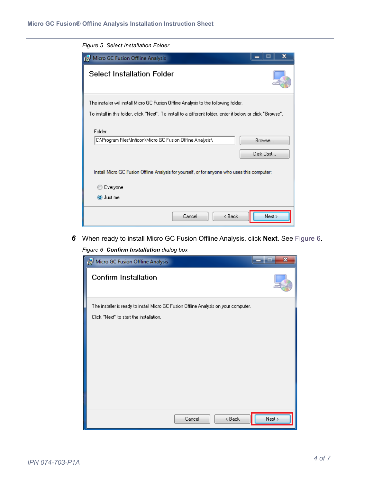<span id="page-3-1"></span>

| Figure 5 Select Installation Folder                                                                          |
|--------------------------------------------------------------------------------------------------------------|
| x<br><b>12</b> Micro GC Fusion Offline Analysis                                                              |
| <b>Select Installation Folder</b>                                                                            |
| The installer will install Micro GC Fusion Offline Analysis to the following folder.                         |
| To install in this folder, click "Next". To install to a different folder, enter it below or click "Browse". |
| Folder:<br>C:\Program Files\Inficon\Micro GC Fusion Offline Analysis\<br>Browse<br>Disk Cost                 |
| Install Micro GC Fusion Offline Analysis for yourself, or for anyone who uses this computer:                 |
| Everyone                                                                                                     |
| O Just me                                                                                                    |
| Next ><br>< Back<br>Cancel                                                                                   |

<span id="page-3-2"></span><span id="page-3-0"></span>*6* When ready to install Micro GC Fusion Offline Analysis, click **Next**. See [Figure 6.](#page-3-2)

*Figure 6 Confirm Installation dialog box*

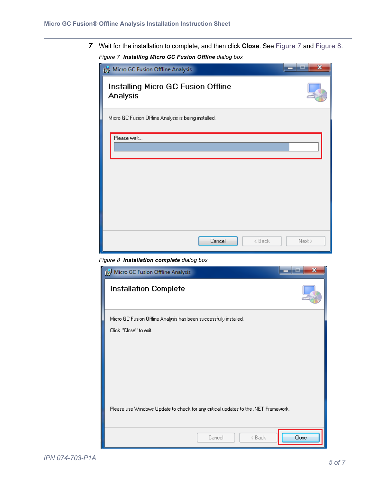<span id="page-4-0"></span>*7* Wait for the installation to complete, and then click **Close**. See [Figure 7](#page-4-0) and [Figure 8](#page-4-1). *Figure 7 Installing Micro GC Fusion Offline dialog box*



*Figure 8 Installation complete dialog box*

<span id="page-4-1"></span>

| Micro GC Fusion Offline Analysis                                                   |       |
|------------------------------------------------------------------------------------|-------|
| <b>Installation Complete</b>                                                       |       |
| Micro GC Fusion Offline Analysis has been successfully installed.                  |       |
| Click "Close" to exit.                                                             |       |
|                                                                                    |       |
|                                                                                    |       |
|                                                                                    |       |
|                                                                                    |       |
|                                                                                    |       |
| Please use Windows Update to check for any critical updates to the .NET Framework. |       |
|                                                                                    |       |
| < Back<br>Cancel                                                                   | Close |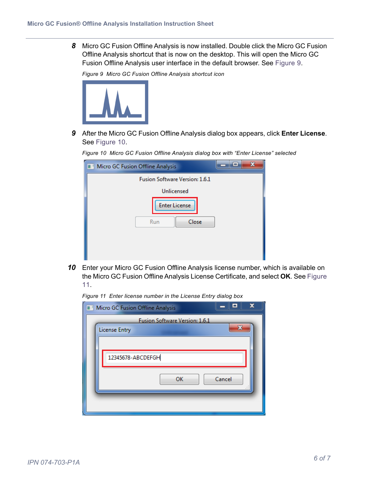**8** Micro GC Fusion Offline Analysis is now installed. Double click the Micro GC Fusion Offline Analysis shortcut that is now on the desktop. This will open the Micro GC Fusion Offline Analysis user interface in the default browser. See [Figure 9](#page-5-0).

<span id="page-5-0"></span>*Figure 9 Micro GC Fusion Offline Analysis shortcut icon*



*9* After the Micro GC Fusion Offline Analysis dialog box appears, click **Enter License**. See [Figure 10.](#page-5-1)

| Micro GC Fusion Offline Analysis     | $\qquad \qquad =$ |
|--------------------------------------|-------------------|
| Fusion Software Version: 1.6.1       |                   |
| Unlicensed                           |                   |
| <b>Enter License</b><br>Close<br>Run |                   |

<span id="page-5-1"></span>*Figure 10 Micro GC Fusion Offline Analysis dialog box with "Enter License" selected*

*10* Enter your Micro GC Fusion Offline Analysis license number, which is available on the Micro GC Fusion Offline Analysis License Certificate, and select **OK**. See [Figure](#page-5-2)  [11.](#page-5-2)

<span id="page-5-2"></span>*Figure 11 Enter license number in the License Entry dialog box*

| ш<br>Micro GC Fusion Offline Analysis                       | x |
|-------------------------------------------------------------|---|
| Fusion Software Version: 1.6.1<br>x<br><b>License Entry</b> |   |
| 12345678-ABCDEFGH                                           |   |
| Cancel<br>ОК                                                |   |
|                                                             |   |